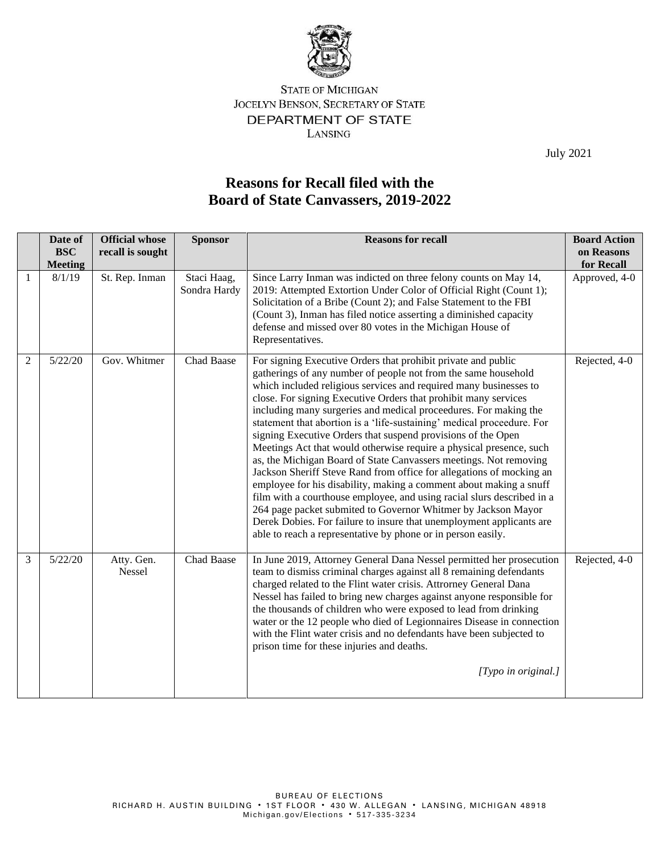

## **STATE OF MICHIGAN** JOCELYN BENSON, SECRETARY OF STATE DEPARTMENT OF STATE LANSING

July 2021

## **Reasons for Recall filed with the Board of State Canvassers, 2019-2022**

|   | Date of<br><b>BSC</b><br><b>Meeting</b> | <b>Official whose</b><br>recall is sought | <b>Sponsor</b>              | <b>Reasons for recall</b>                                                                                                                                                                                                                                                                                                                                                                                                                                                                                                                                                                                                                                                                                                                                                                                                                                                                                                                                                                                                                                          | <b>Board Action</b><br>on Reasons<br>for Recall |
|---|-----------------------------------------|-------------------------------------------|-----------------------------|--------------------------------------------------------------------------------------------------------------------------------------------------------------------------------------------------------------------------------------------------------------------------------------------------------------------------------------------------------------------------------------------------------------------------------------------------------------------------------------------------------------------------------------------------------------------------------------------------------------------------------------------------------------------------------------------------------------------------------------------------------------------------------------------------------------------------------------------------------------------------------------------------------------------------------------------------------------------------------------------------------------------------------------------------------------------|-------------------------------------------------|
|   | 8/1/19                                  | St. Rep. Inman                            | Staci Haag,<br>Sondra Hardy | Since Larry Inman was indicted on three felony counts on May 14,<br>2019: Attempted Extortion Under Color of Official Right (Count 1);<br>Solicitation of a Bribe (Count 2); and False Statement to the FBI<br>(Count 3), Inman has filed notice asserting a diminished capacity<br>defense and missed over 80 votes in the Michigan House of<br>Representatives.                                                                                                                                                                                                                                                                                                                                                                                                                                                                                                                                                                                                                                                                                                  | Approved, 4-0                                   |
| 2 | 5/22/20                                 | Gov. Whitmer                              | Chad Baase                  | For signing Executive Orders that prohibit private and public<br>gatherings of any number of people not from the same household<br>which included religious services and required many businesses to<br>close. For signing Executive Orders that prohibit many services<br>including many surgeries and medical proceedures. For making the<br>statement that abortion is a 'life-sustaining' medical proceedure. For<br>signing Executive Orders that suspend provisions of the Open<br>Meetings Act that would otherwise require a physical presence, such<br>as, the Michigan Board of State Canvassers meetings. Not removing<br>Jackson Sheriff Steve Rand from office for allegations of mocking an<br>employee for his disability, making a comment about making a snuff<br>film with a courthouse employee, and using racial slurs described in a<br>264 page packet submited to Governor Whitmer by Jackson Mayor<br>Derek Dobies. For failure to insure that unemployment applicants are<br>able to reach a representative by phone or in person easily. | Rejected, 4-0                                   |
| 3 | 5/22/20                                 | Atty. Gen.<br>Nessel                      | Chad Baase                  | In June 2019, Attorney General Dana Nessel permitted her prosecution<br>team to dismiss criminal charges against all 8 remaining defendants<br>charged related to the Flint water crisis. Attrorney General Dana<br>Nessel has failed to bring new charges against anyone responsible for<br>the thousands of children who were exposed to lead from drinking<br>water or the 12 people who died of Legionnaires Disease in connection<br>with the Flint water crisis and no defendants have been subjected to<br>prison time for these injuries and deaths.<br>[Typo in original.]                                                                                                                                                                                                                                                                                                                                                                                                                                                                                | Rejected, 4-0                                   |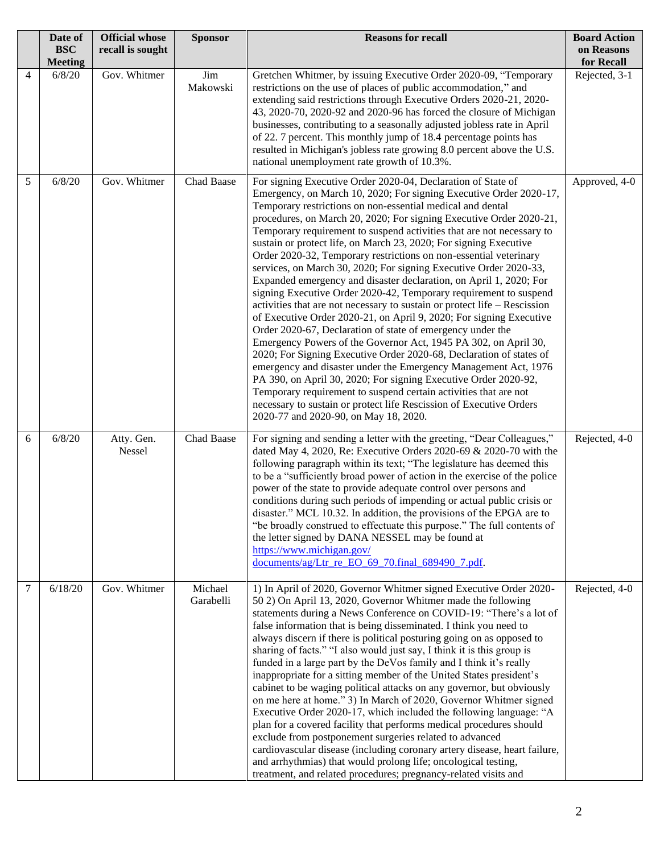|   | Date of<br><b>BSC</b><br><b>Meeting</b> | <b>Official whose</b><br>recall is sought | <b>Sponsor</b>       | <b>Reasons for recall</b>                                                                                                                                                                                                                                                                                                                                                                                                                                                                                                                                                                                                                                                                                                                                                                                                                                                                                                                                                                                                                                                                                                                                                                                                                                                                                                                                                                          | <b>Board Action</b><br>on Reasons<br>for Recall |
|---|-----------------------------------------|-------------------------------------------|----------------------|----------------------------------------------------------------------------------------------------------------------------------------------------------------------------------------------------------------------------------------------------------------------------------------------------------------------------------------------------------------------------------------------------------------------------------------------------------------------------------------------------------------------------------------------------------------------------------------------------------------------------------------------------------------------------------------------------------------------------------------------------------------------------------------------------------------------------------------------------------------------------------------------------------------------------------------------------------------------------------------------------------------------------------------------------------------------------------------------------------------------------------------------------------------------------------------------------------------------------------------------------------------------------------------------------------------------------------------------------------------------------------------------------|-------------------------------------------------|
| 4 | 6/8/20                                  | Gov. Whitmer                              | Jim<br>Makowski      | Gretchen Whitmer, by issuing Executive Order 2020-09, "Temporary<br>restrictions on the use of places of public accommodation," and<br>extending said restrictions through Executive Orders 2020-21, 2020-<br>43, 2020-70, 2020-92 and 2020-96 has forced the closure of Michigan<br>businesses, contributing to a seasonally adjusted jobless rate in April<br>of 22. 7 percent. This monthly jump of 18.4 percentage points has<br>resulted in Michigan's jobless rate growing 8.0 percent above the U.S.<br>national unemployment rate growth of 10.3%.                                                                                                                                                                                                                                                                                                                                                                                                                                                                                                                                                                                                                                                                                                                                                                                                                                         | Rejected, 3-1                                   |
| 5 | 6/8/20                                  | Gov. Whitmer                              | Chad Baase           | For signing Executive Order 2020-04, Declaration of State of<br>Emergency, on March 10, 2020; For signing Executive Order 2020-17,<br>Temporary restrictions on non-essential medical and dental<br>procedures, on March 20, 2020; For signing Executive Order 2020-21,<br>Temporary requirement to suspend activities that are not necessary to<br>sustain or protect life, on March 23, 2020; For signing Executive<br>Order 2020-32, Temporary restrictions on non-essential veterinary<br>services, on March 30, 2020; For signing Executive Order 2020-33,<br>Expanded emergency and disaster declaration, on April 1, 2020; For<br>signing Executive Order 2020-42, Temporary requirement to suspend<br>activities that are not necessary to sustain or protect life $-$ Rescission<br>of Executive Order 2020-21, on April 9, 2020; For signing Executive<br>Order 2020-67, Declaration of state of emergency under the<br>Emergency Powers of the Governor Act, 1945 PA 302, on April 30,<br>2020; For Signing Executive Order 2020-68, Declaration of states of<br>emergency and disaster under the Emergency Management Act, 1976<br>PA 390, on April 30, 2020; For signing Executive Order 2020-92,<br>Temporary requirement to suspend certain activities that are not<br>necessary to sustain or protect life Rescission of Executive Orders<br>2020-77 and 2020-90, on May 18, 2020. | Approved, 4-0                                   |
| 6 | 6/8/20                                  | Atty. Gen.<br>Nessel                      | Chad Baase           | For signing and sending a letter with the greeting, "Dear Colleagues,"<br>dated May 4, 2020, Re: Executive Orders 2020-69 & 2020-70 with the<br>following paragraph within its text; "The legislature has deemed this<br>to be a "sufficiently broad power of action in the exercise of the police<br>power of the state to provide adequate control over persons and<br>conditions during such periods of impending or actual public crisis or<br>disaster." MCL 10.32. In addition, the provisions of the EPGA are to<br>"be broadly construed to effectuate this purpose." The full contents of<br>the letter signed by DANA NESSEL may be found at<br>https://www.michigan.gov/<br>documents/ag/Ltr_re_EO_69_70.final_689490_7.pdf.                                                                                                                                                                                                                                                                                                                                                                                                                                                                                                                                                                                                                                                            | Rejected, 4-0                                   |
| 7 | 6/18/20                                 | Gov. Whitmer                              | Michael<br>Garabelli | 1) In April of 2020, Governor Whitmer signed Executive Order 2020-<br>50 2) On April 13, 2020, Governor Whitmer made the following<br>statements during a News Conference on COVID-19: "There's a lot of<br>false information that is being disseminated. I think you need to<br>always discern if there is political posturing going on as opposed to<br>sharing of facts." "I also would just say, I think it is this group is<br>funded in a large part by the DeVos family and I think it's really<br>inappropriate for a sitting member of the United States president's<br>cabinet to be waging political attacks on any governor, but obviously<br>on me here at home." 3) In March of 2020, Governor Whitmer signed<br>Executive Order 2020-17, which included the following language: "A<br>plan for a covered facility that performs medical procedures should<br>exclude from postponement surgeries related to advanced<br>cardiovascular disease (including coronary artery disease, heart failure,<br>and arrhythmias) that would prolong life; oncological testing,<br>treatment, and related procedures; pregnancy-related visits and                                                                                                                                                                                                                                              | Rejected, 4-0                                   |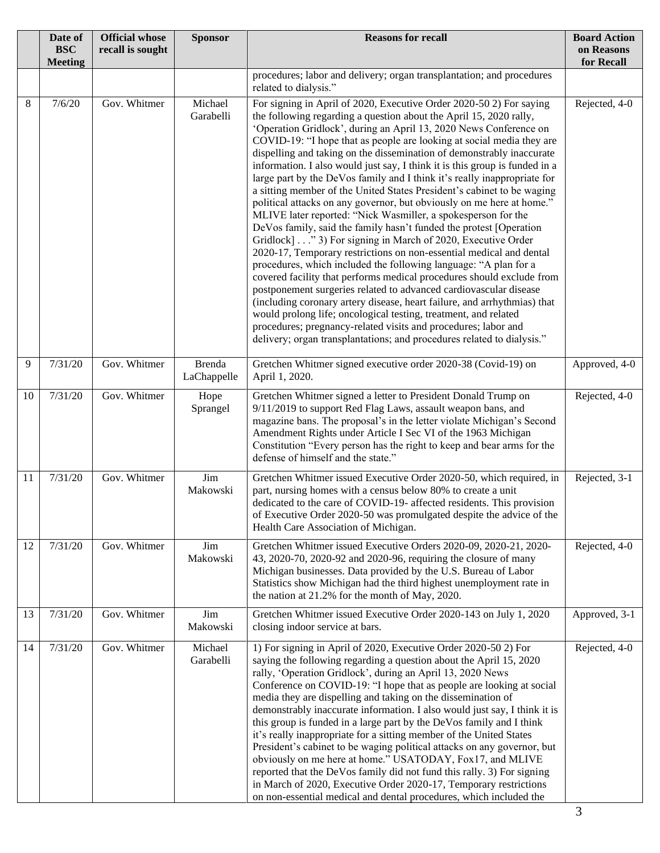|    | Date of<br><b>BSC</b><br><b>Meeting</b> | <b>Official whose</b><br>recall is sought | <b>Sponsor</b>               | <b>Reasons for recall</b>                                                                                                                                                                                                                                                                                                                                                                                                                                                                                                                                                                                                                                                                                                                                                                                                                                                                                                                                                                                                                                                                                                                                                                                                                                                                                                                                                                                                                                                | <b>Board Action</b><br>on Reasons<br>for Recall |
|----|-----------------------------------------|-------------------------------------------|------------------------------|--------------------------------------------------------------------------------------------------------------------------------------------------------------------------------------------------------------------------------------------------------------------------------------------------------------------------------------------------------------------------------------------------------------------------------------------------------------------------------------------------------------------------------------------------------------------------------------------------------------------------------------------------------------------------------------------------------------------------------------------------------------------------------------------------------------------------------------------------------------------------------------------------------------------------------------------------------------------------------------------------------------------------------------------------------------------------------------------------------------------------------------------------------------------------------------------------------------------------------------------------------------------------------------------------------------------------------------------------------------------------------------------------------------------------------------------------------------------------|-------------------------------------------------|
|    |                                         |                                           |                              | procedures; labor and delivery; organ transplantation; and procedures<br>related to dialysis."                                                                                                                                                                                                                                                                                                                                                                                                                                                                                                                                                                                                                                                                                                                                                                                                                                                                                                                                                                                                                                                                                                                                                                                                                                                                                                                                                                           |                                                 |
| 8  | 7/6/20                                  | Gov. Whitmer                              | Michael<br>Garabelli         | For signing in April of 2020, Executive Order 2020-50 2) For saying<br>the following regarding a question about the April 15, 2020 rally,<br>'Operation Gridlock', during an April 13, 2020 News Conference on<br>COVID-19: "I hope that as people are looking at social media they are<br>dispelling and taking on the dissemination of demonstrably inaccurate<br>information. I also would just say, I think it is this group is funded in a<br>large part by the DeVos family and I think it's really inappropriate for<br>a sitting member of the United States President's cabinet to be waging<br>political attacks on any governor, but obviously on me here at home."<br>MLIVE later reported: "Nick Wasmiller, a spokesperson for the<br>DeVos family, said the family hasn't funded the protest [Operation<br>Gridlock]" 3) For signing in March of 2020, Executive Order<br>2020-17, Temporary restrictions on non-essential medical and dental<br>procedures, which included the following language: "A plan for a<br>covered facility that performs medical procedures should exclude from<br>postponement surgeries related to advanced cardiovascular disease<br>(including coronary artery disease, heart failure, and arrhythmias) that<br>would prolong life; oncological testing, treatment, and related<br>procedures; pregnancy-related visits and procedures; labor and<br>delivery; organ transplantations; and procedures related to dialysis." | Rejected, 4-0                                   |
| 9  | 7/31/20                                 | Gov. Whitmer                              | <b>Brenda</b><br>LaChappelle | Gretchen Whitmer signed executive order 2020-38 (Covid-19) on<br>April 1, 2020.                                                                                                                                                                                                                                                                                                                                                                                                                                                                                                                                                                                                                                                                                                                                                                                                                                                                                                                                                                                                                                                                                                                                                                                                                                                                                                                                                                                          | Approved, 4-0                                   |
| 10 | 7/31/20                                 | Gov. Whitmer                              | Hope<br>Sprangel             | Gretchen Whitmer signed a letter to President Donald Trump on<br>9/11/2019 to support Red Flag Laws, assault weapon bans, and<br>magazine bans. The proposal's in the letter violate Michigan's Second<br>Amendment Rights under Article I Sec VI of the 1963 Michigan<br>Constitution "Every person has the right to keep and bear arms for the<br>defense of himself and the state."                                                                                                                                                                                                                                                                                                                                                                                                                                                                                                                                                                                                                                                                                                                                                                                                                                                                                                                                                                                                                                                                                   | Rejected, 4-0                                   |
| 11 | 7/31/20                                 | Gov. Whitmer                              | Jim<br>Makowski              | Gretchen Whitmer issued Executive Order 2020-50, which required, in<br>part, nursing homes with a census below 80% to create a unit<br>dedicated to the care of COVID-19- affected residents. This provision<br>of Executive Order 2020-50 was promulgated despite the advice of the<br>Health Care Association of Michigan.                                                                                                                                                                                                                                                                                                                                                                                                                                                                                                                                                                                                                                                                                                                                                                                                                                                                                                                                                                                                                                                                                                                                             | Rejected, 3-1                                   |
| 12 | 7/31/20                                 | Gov. Whitmer                              | Jim<br>Makowski              | Gretchen Whitmer issued Executive Orders 2020-09, 2020-21, 2020-<br>43, 2020-70, 2020-92 and 2020-96, requiring the closure of many<br>Michigan businesses. Data provided by the U.S. Bureau of Labor<br>Statistics show Michigan had the third highest unemployment rate in<br>the nation at 21.2% for the month of May, 2020.                                                                                                                                                                                                                                                                                                                                                                                                                                                                                                                                                                                                                                                                                                                                                                                                                                                                                                                                                                                                                                                                                                                                          | Rejected, 4-0                                   |
| 13 | 7/31/20                                 | Gov. Whitmer                              | Jim<br>Makowski              | Gretchen Whitmer issued Executive Order 2020-143 on July 1, 2020<br>closing indoor service at bars.                                                                                                                                                                                                                                                                                                                                                                                                                                                                                                                                                                                                                                                                                                                                                                                                                                                                                                                                                                                                                                                                                                                                                                                                                                                                                                                                                                      | Approved, 3-1                                   |
| 14 | 7/31/20                                 | Gov. Whitmer                              | Michael<br>Garabelli         | 1) For signing in April of 2020, Executive Order 2020-50 2) For<br>saying the following regarding a question about the April 15, 2020<br>rally, 'Operation Gridlock', during an April 13, 2020 News<br>Conference on COVID-19: "I hope that as people are looking at social<br>media they are dispelling and taking on the dissemination of<br>demonstrably inaccurate information. I also would just say, I think it is<br>this group is funded in a large part by the DeVos family and I think<br>it's really inappropriate for a sitting member of the United States<br>President's cabinet to be waging political attacks on any governor, but<br>obviously on me here at home." USATODAY, Fox17, and MLIVE<br>reported that the DeVos family did not fund this rally. 3) For signing<br>in March of 2020, Executive Order 2020-17, Temporary restrictions<br>on non-essential medical and dental procedures, which included the                                                                                                                                                                                                                                                                                                                                                                                                                                                                                                                                     | Rejected, 4-0                                   |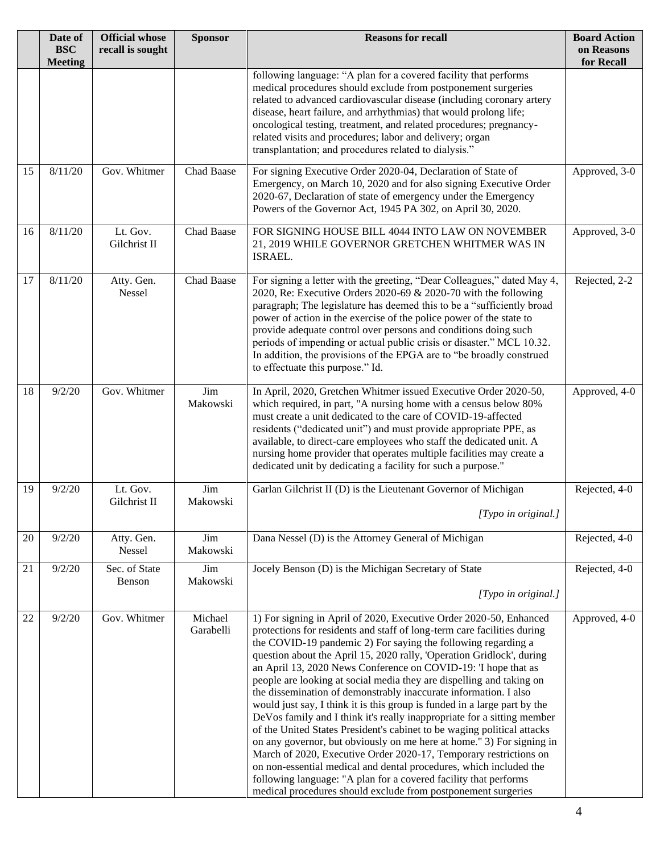|    | Date of<br><b>BSC</b><br><b>Meeting</b> | <b>Official whose</b><br>recall is sought | <b>Sponsor</b>       | <b>Reasons for recall</b>                                                                                                                                                                                                                                                                                                                                                                                                                                                                                                                                                                                                                                                                                                                                                                                                                                                                                                                                                                                                                                                                       | <b>Board Action</b><br>on Reasons<br>for Recall |
|----|-----------------------------------------|-------------------------------------------|----------------------|-------------------------------------------------------------------------------------------------------------------------------------------------------------------------------------------------------------------------------------------------------------------------------------------------------------------------------------------------------------------------------------------------------------------------------------------------------------------------------------------------------------------------------------------------------------------------------------------------------------------------------------------------------------------------------------------------------------------------------------------------------------------------------------------------------------------------------------------------------------------------------------------------------------------------------------------------------------------------------------------------------------------------------------------------------------------------------------------------|-------------------------------------------------|
|    |                                         |                                           |                      | following language: "A plan for a covered facility that performs<br>medical procedures should exclude from postponement surgeries<br>related to advanced cardiovascular disease (including coronary artery<br>disease, heart failure, and arrhythmias) that would prolong life;<br>oncological testing, treatment, and related procedures; pregnancy-<br>related visits and procedures; labor and delivery; organ<br>transplantation; and procedures related to dialysis."                                                                                                                                                                                                                                                                                                                                                                                                                                                                                                                                                                                                                      |                                                 |
| 15 | 8/11/20                                 | Gov. Whitmer                              | Chad Baase           | For signing Executive Order 2020-04, Declaration of State of<br>Emergency, on March 10, 2020 and for also signing Executive Order<br>2020-67, Declaration of state of emergency under the Emergency<br>Powers of the Governor Act, 1945 PA 302, on April 30, 2020.                                                                                                                                                                                                                                                                                                                                                                                                                                                                                                                                                                                                                                                                                                                                                                                                                              | Approved, 3-0                                   |
| 16 | 8/11/20                                 | Lt. Gov.<br>Gilchrist II                  | Chad Baase           | FOR SIGNING HOUSE BILL 4044 INTO LAW ON NOVEMBER<br>21, 2019 WHILE GOVERNOR GRETCHEN WHITMER WAS IN<br>ISRAEL.                                                                                                                                                                                                                                                                                                                                                                                                                                                                                                                                                                                                                                                                                                                                                                                                                                                                                                                                                                                  | Approved, 3-0                                   |
| 17 | 8/11/20                                 | Atty. Gen.<br>Nessel                      | Chad Baase           | For signing a letter with the greeting, "Dear Colleagues," dated May 4,<br>2020, Re: Executive Orders 2020-69 & 2020-70 with the following<br>paragraph; The legislature has deemed this to be a "sufficiently broad<br>power of action in the exercise of the police power of the state to<br>provide adequate control over persons and conditions doing such<br>periods of impending or actual public crisis or disaster." MCL 10.32.<br>In addition, the provisions of the EPGA are to "be broadly construed<br>to effectuate this purpose." Id.                                                                                                                                                                                                                                                                                                                                                                                                                                                                                                                                             | Rejected, 2-2                                   |
| 18 | 9/2/20                                  | Gov. Whitmer                              | Jim<br>Makowski      | In April, 2020, Gretchen Whitmer issued Executive Order 2020-50,<br>which required, in part, "A nursing home with a census below 80%<br>must create a unit dedicated to the care of COVID-19-affected<br>residents ("dedicated unit") and must provide appropriate PPE, as<br>available, to direct-care employees who staff the dedicated unit. A<br>nursing home provider that operates multiple facilities may create a<br>dedicated unit by dedicating a facility for such a purpose."                                                                                                                                                                                                                                                                                                                                                                                                                                                                                                                                                                                                       | Approved, 4-0                                   |
| 19 | 9/2/20                                  | Lt. Gov.<br>Gilchrist II                  | Jim<br>Makowski      | Garlan Gilchrist II (D) is the Lieutenant Governor of Michigan<br>$ Type\ in\ original. $                                                                                                                                                                                                                                                                                                                                                                                                                                                                                                                                                                                                                                                                                                                                                                                                                                                                                                                                                                                                       | Rejected, 4-0                                   |
| 20 | 9/2/20                                  | Atty. Gen.<br>Nessel                      | Jim<br>Makowski      | Dana Nessel (D) is the Attorney General of Michigan                                                                                                                                                                                                                                                                                                                                                                                                                                                                                                                                                                                                                                                                                                                                                                                                                                                                                                                                                                                                                                             | Rejected, 4-0                                   |
| 21 | 9/2/20                                  | Sec. of State<br>Benson                   | Jim<br>Makowski      | Jocely Benson (D) is the Michigan Secretary of State<br>[Typo in original.]                                                                                                                                                                                                                                                                                                                                                                                                                                                                                                                                                                                                                                                                                                                                                                                                                                                                                                                                                                                                                     | Rejected, 4-0                                   |
| 22 | 9/2/20                                  | Gov. Whitmer                              | Michael<br>Garabelli | 1) For signing in April of 2020, Executive Order 2020-50, Enhanced<br>protections for residents and staff of long-term care facilities during<br>the COVID-19 pandemic 2) For saying the following regarding a<br>question about the April 15, 2020 rally, 'Operation Gridlock', during<br>an April 13, 2020 News Conference on COVID-19: Thope that as<br>people are looking at social media they are dispelling and taking on<br>the dissemination of demonstrably inaccurate information. I also<br>would just say, I think it is this group is funded in a large part by the<br>DeVos family and I think it's really inappropriate for a sitting member<br>of the United States President's cabinet to be waging political attacks<br>on any governor, but obviously on me here at home." 3) For signing in<br>March of 2020, Executive Order 2020-17, Temporary restrictions on<br>on non-essential medical and dental procedures, which included the<br>following language: "A plan for a covered facility that performs<br>medical procedures should exclude from postponement surgeries | Approved, 4-0                                   |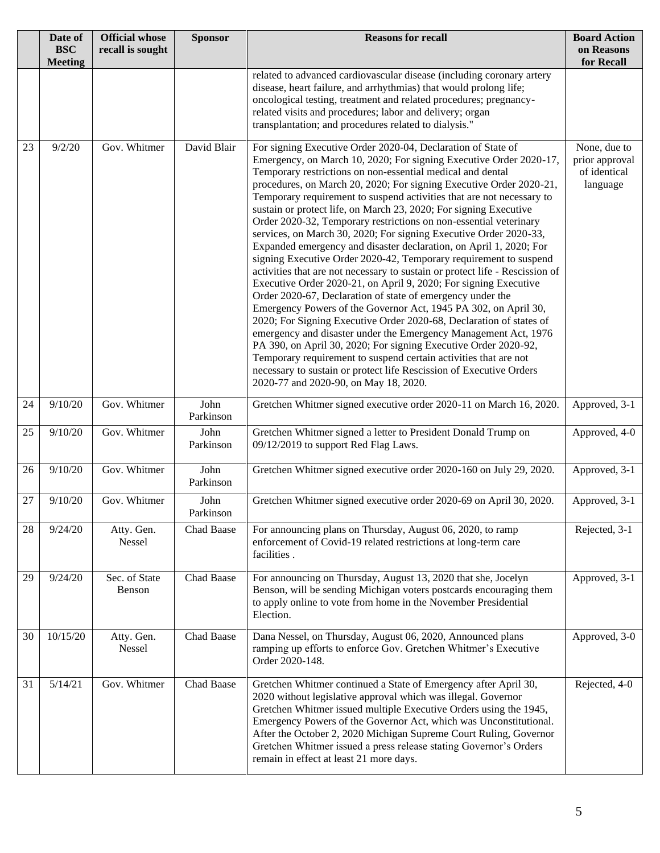|    | Date of<br><b>BSC</b> | <b>Official whose</b><br>recall is sought | <b>Sponsor</b>    | <b>Reasons for recall</b>                                                                                                                                                                                                                                                                                                                                                                                                                                                                                                                                                                                                                                                                                                                                                                                                                                                                                                                                                                                                                                                                                                                                                                                                                                                                                                                                                                        | <b>Board Action</b>      |
|----|-----------------------|-------------------------------------------|-------------------|--------------------------------------------------------------------------------------------------------------------------------------------------------------------------------------------------------------------------------------------------------------------------------------------------------------------------------------------------------------------------------------------------------------------------------------------------------------------------------------------------------------------------------------------------------------------------------------------------------------------------------------------------------------------------------------------------------------------------------------------------------------------------------------------------------------------------------------------------------------------------------------------------------------------------------------------------------------------------------------------------------------------------------------------------------------------------------------------------------------------------------------------------------------------------------------------------------------------------------------------------------------------------------------------------------------------------------------------------------------------------------------------------|--------------------------|
|    | <b>Meeting</b>        |                                           |                   |                                                                                                                                                                                                                                                                                                                                                                                                                                                                                                                                                                                                                                                                                                                                                                                                                                                                                                                                                                                                                                                                                                                                                                                                                                                                                                                                                                                                  | on Reasons<br>for Recall |
|    |                       |                                           |                   | related to advanced cardiovascular disease (including coronary artery<br>disease, heart failure, and arrhythmias) that would prolong life;<br>oncological testing, treatment and related procedures; pregnancy-<br>related visits and procedures; labor and delivery; organ<br>transplantation; and procedures related to dialysis."                                                                                                                                                                                                                                                                                                                                                                                                                                                                                                                                                                                                                                                                                                                                                                                                                                                                                                                                                                                                                                                             |                          |
| 23 | 9/2/20                | Gov. Whitmer                              | David Blair       | For signing Executive Order 2020-04, Declaration of State of<br>Emergency, on March 10, 2020; For signing Executive Order 2020-17,<br>Temporary restrictions on non-essential medical and dental<br>procedures, on March 20, 2020; For signing Executive Order 2020-21,<br>Temporary requirement to suspend activities that are not necessary to<br>sustain or protect life, on March 23, 2020; For signing Executive<br>Order 2020-32, Temporary restrictions on non-essential veterinary<br>services, on March 30, 2020; For signing Executive Order 2020-33,<br>Expanded emergency and disaster declaration, on April 1, 2020; For<br>signing Executive Order 2020-42, Temporary requirement to suspend<br>activities that are not necessary to sustain or protect life - Rescission of<br>Executive Order 2020-21, on April 9, 2020; For signing Executive<br>Order 2020-67, Declaration of state of emergency under the<br>Emergency Powers of the Governor Act, 1945 PA 302, on April 30,<br>2020; For Signing Executive Order 2020-68, Declaration of states of<br>emergency and disaster under the Emergency Management Act, 1976<br>PA 390, on April 30, 2020; For signing Executive Order 2020-92,<br>Temporary requirement to suspend certain activities that are not<br>necessary to sustain or protect life Rescission of Executive Orders<br>2020-77 and 2020-90, on May 18, 2020. |                          |
| 24 | 9/10/20               | Gov. Whitmer                              | John<br>Parkinson | Gretchen Whitmer signed executive order 2020-11 on March 16, 2020.                                                                                                                                                                                                                                                                                                                                                                                                                                                                                                                                                                                                                                                                                                                                                                                                                                                                                                                                                                                                                                                                                                                                                                                                                                                                                                                               | Approved, 3-1            |
| 25 | 9/10/20               | Gov. Whitmer                              | John<br>Parkinson | Gretchen Whitmer signed a letter to President Donald Trump on<br>09/12/2019 to support Red Flag Laws.                                                                                                                                                                                                                                                                                                                                                                                                                                                                                                                                                                                                                                                                                                                                                                                                                                                                                                                                                                                                                                                                                                                                                                                                                                                                                            | Approved, 4-0            |
| 26 | 9/10/20               | Gov. Whitmer                              | John<br>Parkinson | Gretchen Whitmer signed executive order 2020-160 on July 29, 2020.                                                                                                                                                                                                                                                                                                                                                                                                                                                                                                                                                                                                                                                                                                                                                                                                                                                                                                                                                                                                                                                                                                                                                                                                                                                                                                                               | Approved, 3-1            |
| 27 | 9/10/20               | Gov. Whitmer                              | John<br>Parkinson | Gretchen Whitmer signed executive order 2020-69 on April 30, 2020.                                                                                                                                                                                                                                                                                                                                                                                                                                                                                                                                                                                                                                                                                                                                                                                                                                                                                                                                                                                                                                                                                                                                                                                                                                                                                                                               | Approved, 3-1            |
| 28 | 9/24/20               | Atty. Gen.<br>Nessel                      | Chad Baase        | For announcing plans on Thursday, August 06, 2020, to ramp<br>enforcement of Covid-19 related restrictions at long-term care<br>facilities.                                                                                                                                                                                                                                                                                                                                                                                                                                                                                                                                                                                                                                                                                                                                                                                                                                                                                                                                                                                                                                                                                                                                                                                                                                                      | Rejected, 3-1            |
| 29 | 9/24/20               | Sec. of State<br>Benson                   | Chad Baase        | For announcing on Thursday, August 13, 2020 that she, Jocelyn<br>Benson, will be sending Michigan voters postcards encouraging them<br>to apply online to vote from home in the November Presidential<br>Election.                                                                                                                                                                                                                                                                                                                                                                                                                                                                                                                                                                                                                                                                                                                                                                                                                                                                                                                                                                                                                                                                                                                                                                               | Approved, 3-1            |
| 30 | 10/15/20              | Atty. Gen.<br>Nessel                      | Chad Baase        | Dana Nessel, on Thursday, August 06, 2020, Announced plans<br>ramping up efforts to enforce Gov. Gretchen Whitmer's Executive<br>Order 2020-148.                                                                                                                                                                                                                                                                                                                                                                                                                                                                                                                                                                                                                                                                                                                                                                                                                                                                                                                                                                                                                                                                                                                                                                                                                                                 | Approved, 3-0            |
| 31 | 5/14/21               | Gov. Whitmer                              | Chad Baase        | Gretchen Whitmer continued a State of Emergency after April 30,<br>2020 without legislative approval which was illegal. Governor<br>Gretchen Whitmer issued multiple Executive Orders using the 1945,<br>Emergency Powers of the Governor Act, which was Unconstitutional.<br>After the October 2, 2020 Michigan Supreme Court Ruling, Governor<br>Gretchen Whitmer issued a press release stating Governor's Orders<br>remain in effect at least 21 more days.                                                                                                                                                                                                                                                                                                                                                                                                                                                                                                                                                                                                                                                                                                                                                                                                                                                                                                                                  | Rejected, 4-0            |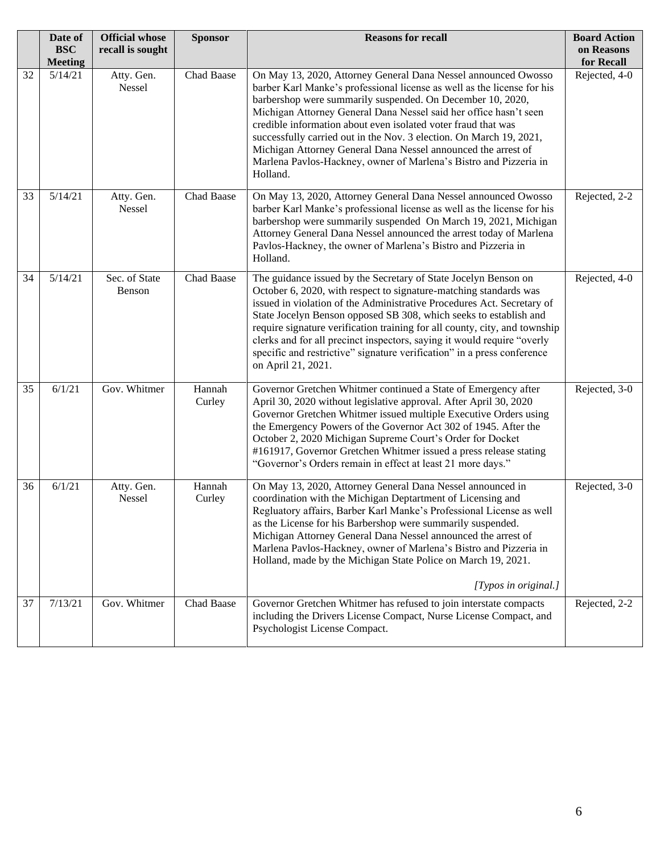|    | Date of<br><b>BSC</b><br><b>Meeting</b> | <b>Official whose</b><br>recall is sought | <b>Sponsor</b>   | <b>Reasons for recall</b>                                                                                                                                                                                                                                                                                                                                                                                                                                                                                                                                              | <b>Board Action</b><br>on Reasons<br>for Recall |
|----|-----------------------------------------|-------------------------------------------|------------------|------------------------------------------------------------------------------------------------------------------------------------------------------------------------------------------------------------------------------------------------------------------------------------------------------------------------------------------------------------------------------------------------------------------------------------------------------------------------------------------------------------------------------------------------------------------------|-------------------------------------------------|
| 32 | 5/14/21                                 | Atty. Gen.<br>Nessel                      | Chad Baase       | On May 13, 2020, Attorney General Dana Nessel announced Owosso<br>barber Karl Manke's professional license as well as the license for his<br>barbershop were summarily suspended. On December 10, 2020,<br>Michigan Attorney General Dana Nessel said her office hasn't seen<br>credible information about even isolated voter fraud that was<br>successfully carried out in the Nov. 3 election. On March 19, 2021,<br>Michigan Attorney General Dana Nessel announced the arrest of<br>Marlena Pavlos-Hackney, owner of Marlena's Bistro and Pizzeria in<br>Holland. | Rejected, 4-0                                   |
| 33 | 5/14/21                                 | Atty. Gen.<br>Nessel                      | Chad Baase       | On May 13, 2020, Attorney General Dana Nessel announced Owosso<br>barber Karl Manke's professional license as well as the license for his<br>barbershop were summarily suspended On March 19, 2021, Michigan<br>Attorney General Dana Nessel announced the arrest today of Marlena<br>Pavlos-Hackney, the owner of Marlena's Bistro and Pizzeria in<br>Holland.                                                                                                                                                                                                        | Rejected, 2-2                                   |
| 34 | 5/14/21                                 | Sec. of State<br>Benson                   | Chad Baase       | The guidance issued by the Secretary of State Jocelyn Benson on<br>October 6, 2020, with respect to signature-matching standards was<br>issued in violation of the Administrative Procedures Act. Secretary of<br>State Jocelyn Benson opposed SB 308, which seeks to establish and<br>require signature verification training for all county, city, and township<br>clerks and for all precinct inspectors, saying it would require "overly<br>specific and restrictive" signature verification" in a press conference<br>on April 21, 2021.                          | Rejected, 4-0                                   |
| 35 | 6/1/21                                  | Gov. Whitmer                              | Hannah<br>Curley | Governor Gretchen Whitmer continued a State of Emergency after<br>April 30, 2020 without legislative approval. After April 30, 2020<br>Governor Gretchen Whitmer issued multiple Executive Orders using<br>the Emergency Powers of the Governor Act 302 of 1945. After the<br>October 2, 2020 Michigan Supreme Court's Order for Docket<br>#161917, Governor Gretchen Whitmer issued a press release stating<br>"Governor's Orders remain in effect at least 21 more days."                                                                                            | Rejected, 3-0                                   |
| 36 | 6/1/21                                  | Atty. Gen.<br>Nessel                      | Hannah<br>Curley | On May 13, 2020, Attorney General Dana Nessel announced in<br>coordination with the Michigan Deptartment of Licensing and<br>Regluatory affairs, Barber Karl Manke's Professional License as well<br>as the License for his Barbershop were summarily suspended.<br>Michigan Attorney General Dana Nessel announced the arrest of<br>Marlena Pavlos-Hackney, owner of Marlena's Bistro and Pizzeria in<br>Holland, made by the Michigan State Police on March 19, 2021.<br>[Typos in original.]                                                                        | Rejected, 3-0                                   |
| 37 | 7/13/21                                 | Gov. Whitmer                              | Chad Baase       | Governor Gretchen Whitmer has refused to join interstate compacts<br>including the Drivers License Compact, Nurse License Compact, and<br>Psychologist License Compact.                                                                                                                                                                                                                                                                                                                                                                                                | Rejected, 2-2                                   |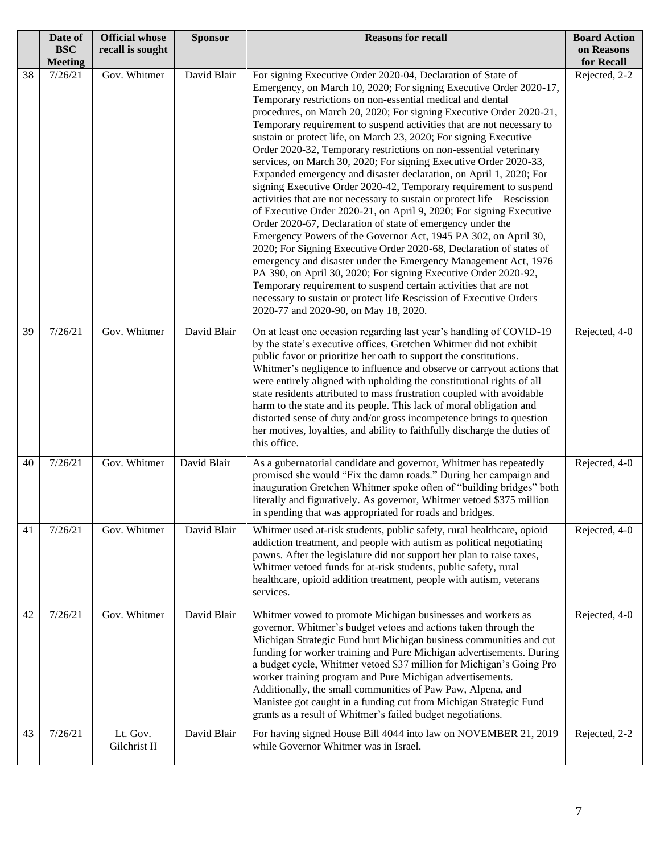|    | Date of<br><b>BSC</b><br><b>Meeting</b> | <b>Official whose</b><br>recall is sought | <b>Sponsor</b> | <b>Reasons for recall</b>                                                                                                                                                                                                                                                                                                                                                                                                                                                                                                                                                                                                                                                                                                                                                                                                                                                                                                                                                                                                                                                                                                                                                                                                                                                                                                                                                                          | <b>Board Action</b><br>on Reasons<br>for Recall |
|----|-----------------------------------------|-------------------------------------------|----------------|----------------------------------------------------------------------------------------------------------------------------------------------------------------------------------------------------------------------------------------------------------------------------------------------------------------------------------------------------------------------------------------------------------------------------------------------------------------------------------------------------------------------------------------------------------------------------------------------------------------------------------------------------------------------------------------------------------------------------------------------------------------------------------------------------------------------------------------------------------------------------------------------------------------------------------------------------------------------------------------------------------------------------------------------------------------------------------------------------------------------------------------------------------------------------------------------------------------------------------------------------------------------------------------------------------------------------------------------------------------------------------------------------|-------------------------------------------------|
| 38 | 7/26/21                                 | Gov. Whitmer                              | David Blair    | For signing Executive Order 2020-04, Declaration of State of<br>Emergency, on March 10, 2020; For signing Executive Order 2020-17,<br>Temporary restrictions on non-essential medical and dental<br>procedures, on March 20, 2020; For signing Executive Order 2020-21,<br>Temporary requirement to suspend activities that are not necessary to<br>sustain or protect life, on March 23, 2020; For signing Executive<br>Order 2020-32, Temporary restrictions on non-essential veterinary<br>services, on March 30, 2020; For signing Executive Order 2020-33,<br>Expanded emergency and disaster declaration, on April 1, 2020; For<br>signing Executive Order 2020-42, Temporary requirement to suspend<br>activities that are not necessary to sustain or protect life $-$ Rescission<br>of Executive Order 2020-21, on April 9, 2020; For signing Executive<br>Order 2020-67, Declaration of state of emergency under the<br>Emergency Powers of the Governor Act, 1945 PA 302, on April 30,<br>2020; For Signing Executive Order 2020-68, Declaration of states of<br>emergency and disaster under the Emergency Management Act, 1976<br>PA 390, on April 30, 2020; For signing Executive Order 2020-92,<br>Temporary requirement to suspend certain activities that are not<br>necessary to sustain or protect life Rescission of Executive Orders<br>2020-77 and 2020-90, on May 18, 2020. | Rejected, 2-2                                   |
| 39 | 7/26/21                                 | Gov. Whitmer                              | David Blair    | On at least one occasion regarding last year's handling of COVID-19<br>by the state's executive offices, Gretchen Whitmer did not exhibit<br>public favor or prioritize her oath to support the constitutions.<br>Whitmer's negligence to influence and observe or carryout actions that<br>were entirely aligned with upholding the constitutional rights of all<br>state residents attributed to mass frustration coupled with avoidable<br>harm to the state and its people. This lack of moral obligation and<br>distorted sense of duty and/or gross incompetence brings to question<br>her motives, loyalties, and ability to faithfully discharge the duties of<br>this office.                                                                                                                                                                                                                                                                                                                                                                                                                                                                                                                                                                                                                                                                                                             | Rejected, 4-0                                   |
| 40 | 7/26/21                                 | Gov. Whitmer                              | David Blair    | As a gubernatorial candidate and governor, Whitmer has repeatedly<br>promised she would "Fix the damn roads." During her campaign and<br>inauguration Gretchen Whitmer spoke often of "building bridges" both<br>literally and figuratively. As governor, Whitmer vetoed \$375 million<br>in spending that was appropriated for roads and bridges.                                                                                                                                                                                                                                                                                                                                                                                                                                                                                                                                                                                                                                                                                                                                                                                                                                                                                                                                                                                                                                                 | Rejected, 4-0                                   |
| 41 | 7/26/21                                 | Gov. Whitmer                              | David Blair    | Whitmer used at-risk students, public safety, rural healthcare, opioid<br>addiction treatment, and people with autism as political negotiating<br>pawns. After the legislature did not support her plan to raise taxes,<br>Whitmer vetoed funds for at-risk students, public safety, rural<br>healthcare, opioid addition treatment, people with autism, veterans<br>services.                                                                                                                                                                                                                                                                                                                                                                                                                                                                                                                                                                                                                                                                                                                                                                                                                                                                                                                                                                                                                     | Rejected, 4-0                                   |
| 42 | 7/26/21                                 | Gov. Whitmer                              | David Blair    | Whitmer vowed to promote Michigan businesses and workers as<br>governor. Whitmer's budget vetoes and actions taken through the<br>Michigan Strategic Fund hurt Michigan business communities and cut<br>funding for worker training and Pure Michigan advertisements. During<br>a budget cycle, Whitmer vetoed \$37 million for Michigan's Going Pro<br>worker training program and Pure Michigan advertisements.<br>Additionally, the small communities of Paw Paw, Alpena, and<br>Manistee got caught in a funding cut from Michigan Strategic Fund<br>grants as a result of Whitmer's failed budget negotiations.                                                                                                                                                                                                                                                                                                                                                                                                                                                                                                                                                                                                                                                                                                                                                                               | Rejected, 4-0                                   |
| 43 | 7/26/21                                 | Lt. Gov.<br>Gilchrist II                  | David Blair    | For having signed House Bill 4044 into law on NOVEMBER 21, 2019<br>while Governor Whitmer was in Israel.                                                                                                                                                                                                                                                                                                                                                                                                                                                                                                                                                                                                                                                                                                                                                                                                                                                                                                                                                                                                                                                                                                                                                                                                                                                                                           | Rejected, 2-2                                   |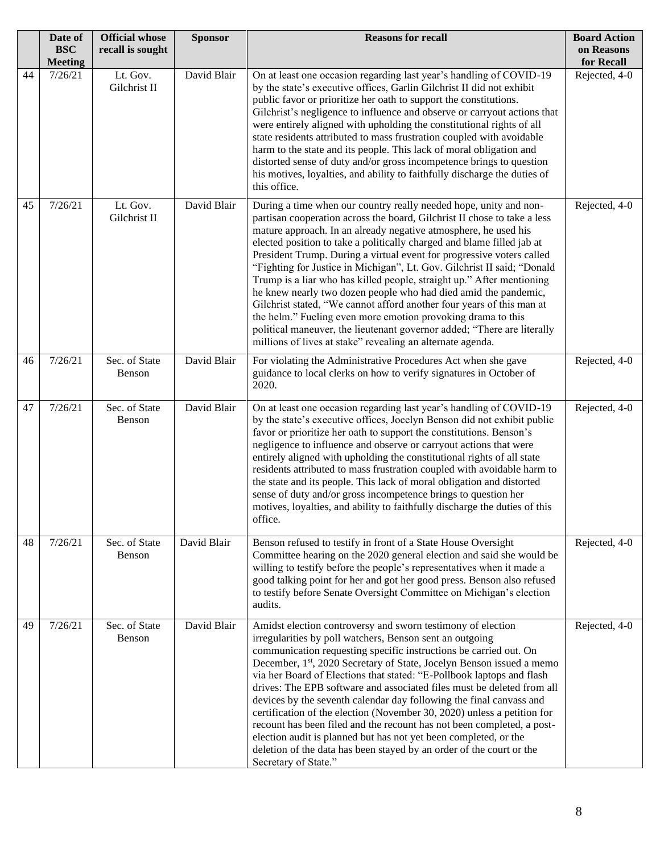|    | Date of<br><b>BSC</b><br><b>Meeting</b> | <b>Official whose</b><br>recall is sought | <b>Sponsor</b> | <b>Reasons for recall</b>                                                                                                                                                                                                                                                                                                                                                                                                                                                                                                                                                                                                                                                                                                                                                                                                                                                    | <b>Board Action</b><br>on Reasons<br>for Recall |
|----|-----------------------------------------|-------------------------------------------|----------------|------------------------------------------------------------------------------------------------------------------------------------------------------------------------------------------------------------------------------------------------------------------------------------------------------------------------------------------------------------------------------------------------------------------------------------------------------------------------------------------------------------------------------------------------------------------------------------------------------------------------------------------------------------------------------------------------------------------------------------------------------------------------------------------------------------------------------------------------------------------------------|-------------------------------------------------|
| 44 | 7/26/21                                 | Lt. Gov.<br>Gilchrist II                  | David Blair    | On at least one occasion regarding last year's handling of COVID-19<br>by the state's executive offices, Garlin Gilchrist II did not exhibit<br>public favor or prioritize her oath to support the constitutions.<br>Gilchrist's negligence to influence and observe or carryout actions that<br>were entirely aligned with upholding the constitutional rights of all<br>state residents attributed to mass frustration coupled with avoidable<br>harm to the state and its people. This lack of moral obligation and<br>distorted sense of duty and/or gross incompetence brings to question<br>his motives, loyalties, and ability to faithfully discharge the duties of<br>this office.                                                                                                                                                                                  | Rejected, 4-0                                   |
| 45 | 7/26/21                                 | Lt. Gov.<br>Gilchrist II                  | David Blair    | During a time when our country really needed hope, unity and non-<br>partisan cooperation across the board, Gilchrist II chose to take a less<br>mature approach. In an already negative atmosphere, he used his<br>elected position to take a politically charged and blame filled jab at<br>President Trump. During a virtual event for progressive voters called<br>"Fighting for Justice in Michigan", Lt. Gov. Gilchrist II said; "Donald<br>Trump is a liar who has killed people, straight up." After mentioning<br>he knew nearly two dozen people who had died amid the pandemic,<br>Gilchrist stated, "We cannot afford another four years of this man at<br>the helm." Fueling even more emotion provoking drama to this<br>political maneuver, the lieutenant governor added; "There are literally<br>millions of lives at stake" revealing an alternate agenda. | Rejected, 4-0                                   |
| 46 | 7/26/21                                 | Sec. of State<br>Benson                   | David Blair    | For violating the Administrative Procedures Act when she gave<br>guidance to local clerks on how to verify signatures in October of<br>2020.                                                                                                                                                                                                                                                                                                                                                                                                                                                                                                                                                                                                                                                                                                                                 | Rejected, 4-0                                   |
| 47 | 7/26/21                                 | Sec. of State<br>Benson                   | David Blair    | On at least one occasion regarding last year's handling of COVID-19<br>by the state's executive offices, Jocelyn Benson did not exhibit public<br>favor or prioritize her oath to support the constitutions. Benson's<br>negligence to influence and observe or carryout actions that were<br>entirely aligned with upholding the constitutional rights of all state<br>residents attributed to mass frustration coupled with avoidable harm to<br>the state and its people. This lack of moral obligation and distorted<br>sense of duty and/or gross incompetence brings to question her<br>motives, loyalties, and ability to faithfully discharge the duties of this<br>office.                                                                                                                                                                                          | Rejected, 4-0                                   |
| 48 | 7/26/21                                 | Sec. of State<br>Benson                   | David Blair    | Benson refused to testify in front of a State House Oversight<br>Committee hearing on the 2020 general election and said she would be<br>willing to testify before the people's representatives when it made a<br>good talking point for her and got her good press. Benson also refused<br>to testify before Senate Oversight Committee on Michigan's election<br>audits.                                                                                                                                                                                                                                                                                                                                                                                                                                                                                                   | Rejected, 4-0                                   |
| 49 | 7/26/21                                 | Sec. of State<br>Benson                   | David Blair    | Amidst election controversy and sworn testimony of election<br>irregularities by poll watchers, Benson sent an outgoing<br>communication requesting specific instructions be carried out. On<br>December, 1st, 2020 Secretary of State, Jocelyn Benson issued a memo<br>via her Board of Elections that stated: "E-Pollbook laptops and flash<br>drives: The EPB software and associated files must be deleted from all<br>devices by the seventh calendar day following the final canvass and<br>certification of the election (November 30, 2020) unless a petition for<br>recount has been filed and the recount has not been completed, a post-<br>election audit is planned but has not yet been completed, or the<br>deletion of the data has been stayed by an order of the court or the<br>Secretary of State."                                                      | Rejected, 4-0                                   |